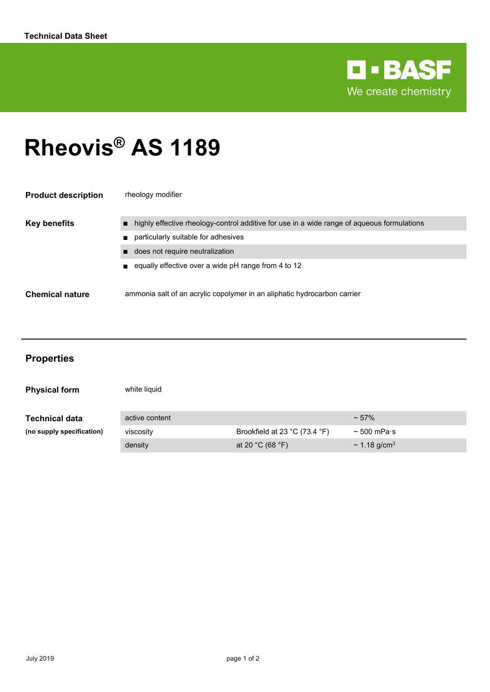

# **Rheovis® AS 1189**

| <b>Product description</b> | rheology modifier                                                                          |
|----------------------------|--------------------------------------------------------------------------------------------|
| <b>Key benefits</b>        | highly effective rheology-control additive for use in a wide range of aqueous formulations |
|                            | particularly suitable for adhesives                                                        |
|                            | does not require neutralization                                                            |
|                            | equally effective over a wide pH range from 4 to 12                                        |
| <b>Chemical nature</b>     | ammonia salt of an acrylic copolymer in an aliphatic hydrocarbon carrier                   |

| <b>Properties</b>         |                |                               |                          |
|---------------------------|----------------|-------------------------------|--------------------------|
| <b>Physical form</b>      | white liquid   |                               |                          |
| <b>Technical data</b>     | active content |                               | $~57\%$                  |
| (no supply specification) | viscosity      | Brookfield at 23 °C (73.4 °F) | $\sim$ 500 mPa $\cdot$ s |
|                           | density        | at 20 °C (68 °F)              | ~ 1.18 g/cm <sup>3</sup> |